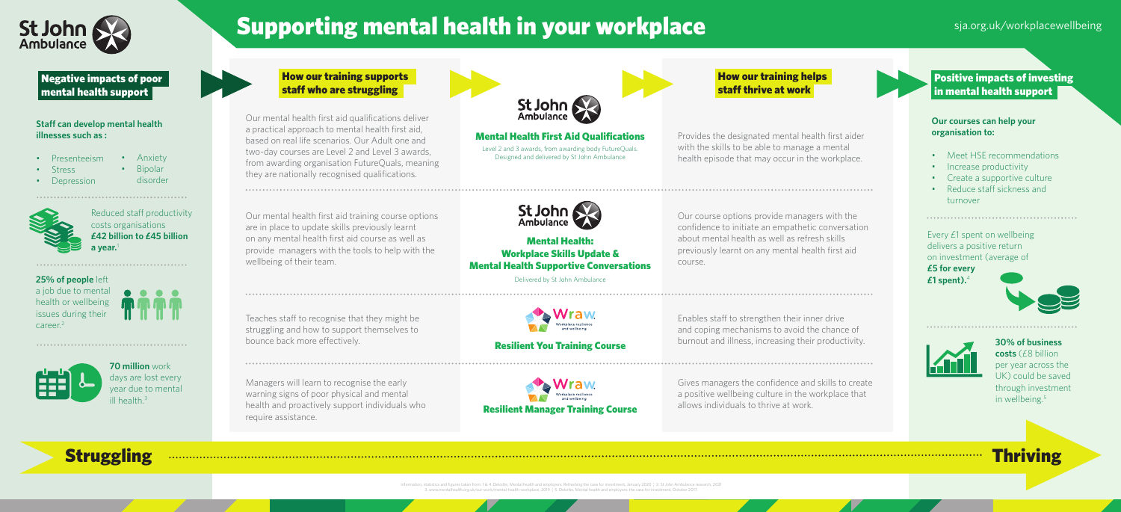Managers will learn to recognise the early warning signs of poor physical and mental health and proactively support individuals who require assistance.



Teaches staff to recognise that they might be struggling and how to support themselves to bounce back more effectively.

Our mental health first aid qualifications deliver a practical approach to mental health first aid, based on real life scenarios. Our Adult one and two-day courses are Level 2 and Level 3 awards, from awarding organisation FutureQuals, meaning they are nationally recognised qualifications.

tatistics and figures taken from:  $1.64$  Deloitte, Mental health and employers: Refreshing the case for investment, January 2020  $\pm$  2. St John Ambulance 3. www.mentalhealth.org.uk/our-work/mental-health-workplace, 2019 ¦ 5. Deloitte, Mental health and employers: the case for investment, October 2017.

Our mental health first aid training course options are in place to update skills previously learnt on any mental health first aid course as well as provide managers with the tools to help with the wellbeing of their team.

**£42 billion to £45 billion a** year.

## How our training supports staff who are struggling

**30% of business costs** (£8 billion per year across the UK) could be saved through investment in wellbeing.<sup>5</sup>



# Supporting mental health in your workplace since the space significant space significant space of the space of the space of the space of the space of the space of the space of the space of the space of the space of the spa

**25% of people** left a job due to mental

health or wellbeing issues during their

career.2



Delivered by St John Ambulance



## **Staff can develop mental health illnesses such as :**

- Presenteeism • Anxiety
- Stress
- Depression
- Bipolar
- 

disorder

Gives managers the confidence and skills to create a positive wellbeing culture in the workplace that allows individuals to thrive at work.

Enables staff to strengthen their inner drive and coping mechanisms to avoid the chance of burnout and illness, increasing their productivity.

Provides the designated mental health first aider with the skills to be able to manage a mental health episode that may occur in the workplace.



Level 2 and 3 awards, from awarding body FutureQuals. Designed and delivered by St John Ambulance Mental Health First Aid Qualifications

> Our course options provide managers with the confidence to initiate an empathetic conversation about mental health as well as refresh skills previously learnt on any mental health first aid course.

Every £1 spent on wellbeing delivers a positive return on investment (average of

**£5 for every £1 spent).**<sup>4</sup>







Negative impacts of poor mental health support

## **Our courses can help your organisation to:**

- Meet HSE recommendations
- Increase productivity
- Create a supportive culture
- Reduce staff sickness and turnover

How our training helps staff thrive at work

Positive impacts of investing in mental health support

Mental Health: Workplace Skills Update & Mental Health Supportive Conversations

Resilient You Training Course